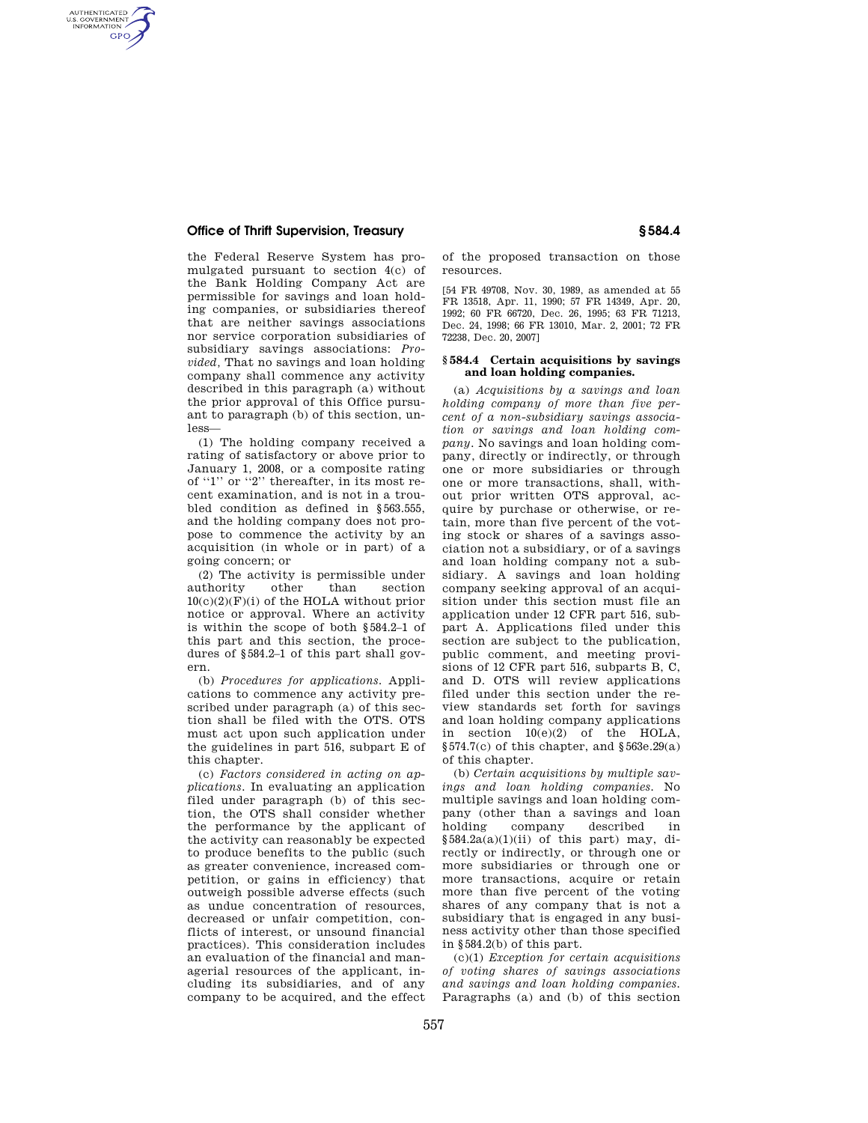## **Office of Thrift Supervision, Treasury § 584.4**

AUTHENTICATED<br>U.S. GOVERNMENT<br>INFORMATION **GPO** 

> the Federal Reserve System has promulgated pursuant to section 4(c) of the Bank Holding Company Act are permissible for savings and loan holding companies, or subsidiaries thereof that are neither savings associations nor service corporation subsidiaries of subsidiary savings associations: *Provided,* That no savings and loan holding company shall commence any activity described in this paragraph (a) without the prior approval of this Office pursuant to paragraph (b) of this section, unless—

> (1) The holding company received a rating of satisfactory or above prior to January 1, 2008, or a composite rating of ''1'' or ''2'' thereafter, in its most recent examination, and is not in a troubled condition as defined in §563.555, and the holding company does not propose to commence the activity by an acquisition (in whole or in part) of a going concern; or

> (2) The activity is permissible under<br>athority other than section authority other than  $10(c)(2)(F)(i)$  of the HOLA without prior notice or approval. Where an activity is within the scope of both §584.2–1 of this part and this section, the procedures of §584.2–1 of this part shall govern.

> (b) *Procedures for applications.* Applications to commence any activity prescribed under paragraph (a) of this section shall be filed with the OTS. OTS must act upon such application under the guidelines in part 516, subpart E of this chapter.

> (c) *Factors considered in acting on applications.* In evaluating an application filed under paragraph (b) of this section, the OTS shall consider whether the performance by the applicant of the activity can reasonably be expected to produce benefits to the public (such as greater convenience, increased competition, or gains in efficiency) that outweigh possible adverse effects (such as undue concentration of resources, decreased or unfair competition, conflicts of interest, or unsound financial practices). This consideration includes an evaluation of the financial and managerial resources of the applicant, including its subsidiaries, and of any company to be acquired, and the effect

of the proposed transaction on those resources.

[54 FR 49708, Nov. 30, 1989, as amended at 55 FR 13518, Apr. 11, 1990; 57 FR 14349, Apr. 20, 1992; 60 FR 66720, Dec. 26, 1995; 63 FR 71213, Dec. 24, 1998; 66 FR 13010, Mar. 2, 2001; 72 FR 72238, Dec. 20, 2007]

## **§ 584.4 Certain acquisitions by savings and loan holding companies.**

(a) *Acquisitions by a savings and loan holding company of more than five percent of a non-subsidiary savings association or savings and loan holding company.* No savings and loan holding company, directly or indirectly, or through one or more subsidiaries or through one or more transactions, shall, without prior written OTS approval, acquire by purchase or otherwise, or retain, more than five percent of the voting stock or shares of a savings association not a subsidiary, or of a savings and loan holding company not a subsidiary. A savings and loan holding company seeking approval of an acquisition under this section must file an application under 12 CFR part 516, subpart A. Applications filed under this section are subject to the publication, public comment, and meeting provisions of 12 CFR part 516, subparts B, C, and D. OTS will review applications filed under this section under the review standards set forth for savings and loan holding company applications in section  $10(e)(2)$  of the HOLA, §574.7(c) of this chapter, and §563e.29(a) of this chapter.

(b) *Certain acquisitions by multiple savings and loan holding companies.* No multiple savings and loan holding company (other than a savings and loan holding company described in  $§584.2a(a)(1)(ii)$  of this part) may, directly or indirectly, or through one or more subsidiaries or through one or more transactions, acquire or retain more than five percent of the voting shares of any company that is not a subsidiary that is engaged in any business activity other than those specified in §584.2(b) of this part.

(c)(1) *Exception for certain acquisitions of voting shares of savings associations and savings and loan holding companies.*  Paragraphs (a) and (b) of this section